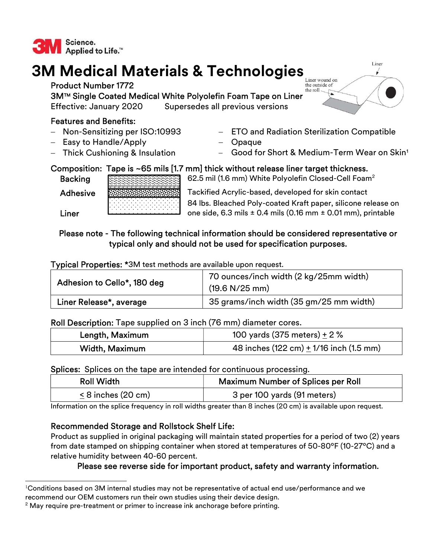

# 3M Medical Materials & Technologies

Product Number 1772 3M™ Single Coated Medical White Polyolefin Foam Tape on Liner Effective: January 2020 Supersedes all previous versions

## Features and Benefits:

- Non-Sensitizing per ISO:10993
- Easy to Handle/Apply
- Thick Cushioning & Insulation
- ETO and Radiation Sterilization Compatible
- Opaque
- Good for Short & Medium-Term Wear on Skin<sup>1</sup>

## Composition: Tape is ~65 mils [1.7 mm] thick without release liner target thickness.

Backing Experience 62.5 mil (1.6 mm) White Polyolefin Closed-Cell Foam<sup>2</sup>

Adhesive **Tackified Acrylic-based, developed for skin contact**  84 lbs. Bleached Poly-coated Kraft paper, silicone release on one side,  $6.3$  mils  $\pm$  0.4 mils (0.16 mm  $\pm$  0.01 mm), printable

Liner

#### Please note - The following technical information should be considered representative or typical only and should not be used for specification purposes.

Typical Properties: \*3M test methods are available upon request.

| Adhesion to Cello*, 180 deg | 70 ounces/inch width (2 kg/25mm width)<br>(19.6 N/25 mm) |
|-----------------------------|----------------------------------------------------------|
| Liner Release*, average     | 35 grams/inch width (35 gm/25 mm width)                  |

Roll Description: Tape supplied on 3 inch (76 mm) diameter cores.

| Length, Maximum | 100 yards (375 meters) $\pm$ 2 %                            |
|-----------------|-------------------------------------------------------------|
| Width, Maximum  | 48 inches $(122 \text{ cm}) + 1/16$ inch $(1.5 \text{ mm})$ |

Splices: Splices on the tape are intended for continuous processing.

| <b>Roll Width</b>    | <b>Maximum Number of Splices per Roll</b> |
|----------------------|-------------------------------------------|
| $< 8$ inches (20 cm) | 3 per 100 yards (91 meters)               |

Information on the splice frequency in roll widths greater than 8 inches (20 cm) is available upon request.

#### Recommended Storage and Rollstock Shelf Life:

Product as supplied in original packaging will maintain stated properties for a period of two (2) years from date stamped on shipping container when stored at temperatures of 50-80ºF (10-27ºC) and a relative humidity between 40-60 percent.

#### Please see reverse side for important product, safety and warranty information.



 $^{\text{l}}$ Conditions based on 3M internal studies may not be representative of actual end use/performance and we recommend our OEM customers run their own studies using their device design.

 $2$  May require pre-treatment or primer to increase ink anchorage before printing.